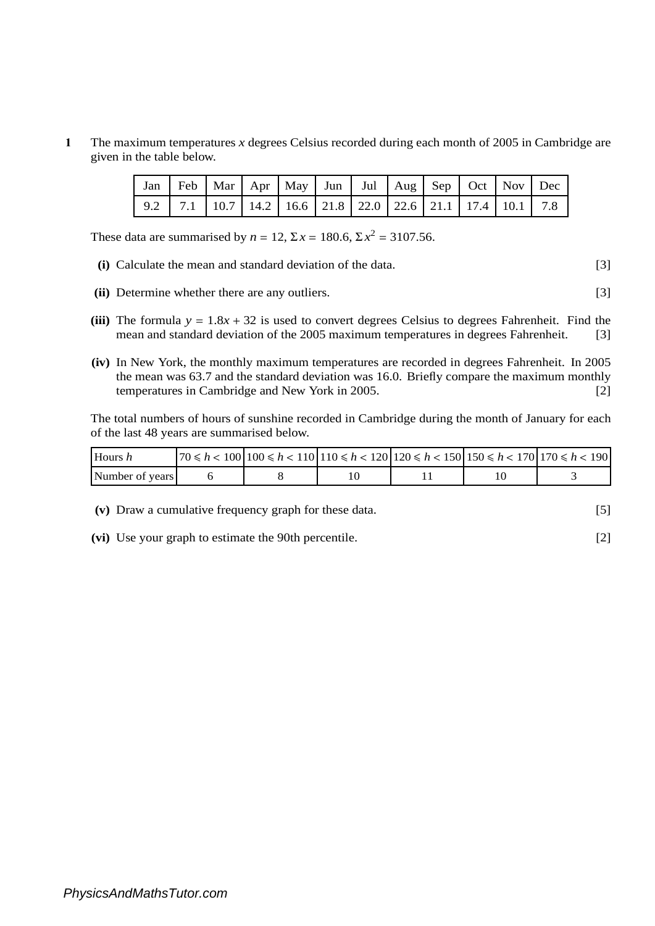**1** The maximum temperatures *x* degrees Celsius recorded during each month of 2005 in Cambridge are given in the table below.

|  |  | Jan   Feb   Mar   Apr   May   Jun   Jul   Aug   Sep   Oct   Nov   Dec |  |  |  |  |
|--|--|-----------------------------------------------------------------------|--|--|--|--|
|  |  |                                                                       |  |  |  |  |

These data are summarised by  $n = 12$ ,  $\Sigma x = 180.6$ ,  $\Sigma x^2 = 3107.56$ .

- **(i)** Calculate the mean and standard deviation of the data. [3]
- **(ii)** Determine whether there are any outliers. [3]
- (iii) The formula  $y = 1.8x + 32$  is used to convert degrees Celsius to degrees Fahrenheit. Find the mean and standard deviation of the 2005 maximum temperatures in degrees Fahrenheit. [3] mean and standard deviation of the 2005 maximum temperatures in degrees Fahrenheit.
- **(iv)** In New York, the monthly maximum temperatures are recorded in degrees Fahrenheit. In 2005 the mean was 63.7 and the standard deviation was 16.0. Briefly compare the maximum monthly temperatures in Cambridge and New York in 2005. [2]

The total numbers of hours of sunshine recorded in Cambridge during the month of January for each of the last 48 years are summarised below.

| Hours h         | $70 \le h < 100$   $100 \le h < 110$   $110 \le h < 120$   $120 \le h < 150$   $150 \le h < 170$   $170 \le h < 190$ |  |  |
|-----------------|----------------------------------------------------------------------------------------------------------------------|--|--|
| Number of years |                                                                                                                      |  |  |

**(v)** Draw a cumulative frequency graph for these data. [5]

**(vi)** Use your graph to estimate the 90th percentile. [2]

*PhysicsAndMathsTutor.com*